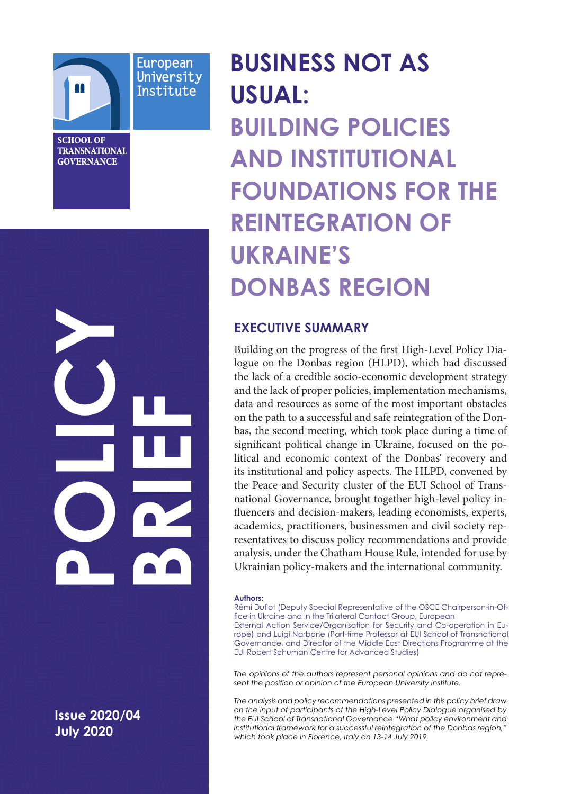

European University Institute

**SCHOOL OF TRANSNATIONAL GOVERNANCE** 

**July 2020POLICY BRIEF**<br>2

**Issue 2020/04 July 2020** 

# **BUSINESS NOT AS USUAL: BUILDING POLICIES AND INSTITUTIONAL FOUNDATIONS FOR THE REINTEGRATION OF UKRAINE'S DONBAS REGION**

# **EXECUTIVE SUMMARY**

Building on the progress of the first High-Level Policy Dialogue on the Donbas region (HLPD), which had discussed the lack of a credible socio-economic development strategy and the lack of proper policies, implementation mechanisms, data and resources as some of the most important obstacles on the path to a successful and safe reintegration of the Donbas, the second meeting, which took place during a time of significant political change in Ukraine, focused on the political and economic context of the Donbas' recovery and its institutional and policy aspects. The HLPD, convened by the Peace and Security cluster of the EUI School of Transnational Governance, brought together high-level policy influencers and decision-makers, leading economists, experts, academics, practitioners, businessmen and civil society representatives to discuss policy recommendations and provide analysis, under the Chatham House Rule, intended for use by Ukrainian policy-makers and the international community.

#### **Authors:**

Rémi Duflot (Deputy Special Representative of the OSCE Chairperson-in-Office in Ukraine and in the Trilateral Contact Group, European External Action Service/Organisation for Security and Co-operation in Europe) and Luigi Narbone (Part-time Professor at EUI School of Transnational Governance, and Director of the Middle East Directions Programme at the EUI Robert Schuman Centre for Advanced Studies)

*The opinions of the authors represent personal opinions and do not represent the position or opinion of the European University Institute.* 

*The analysis and policy recommendations presented in this policy brief draw on the input of participants of the High-Level Policy Dialogue organised by the EUI School of Transnational Governance "What policy environment and institutional framework for a successful reintegration of the Donbas region," which took place in Florence, Italy on 13-14 July 2019.*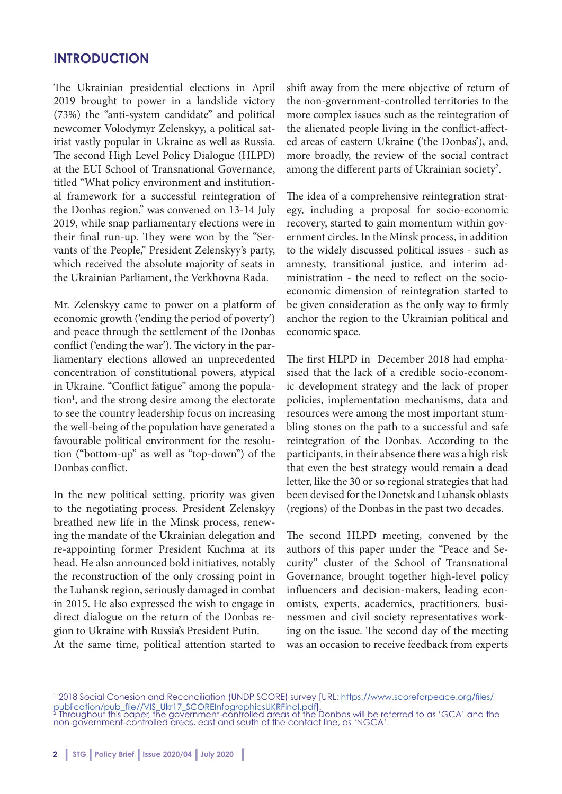### **INTRODUCTION**

The Ukrainian presidential elections in April 2019 brought to power in a landslide victory (73%) the "anti-system candidate" and political newcomer Volodymyr Zelenskyy, a political satirist vastly popular in Ukraine as well as Russia. The second High Level Policy Dialogue (HLPD) at the EUI School of Transnational Governance, titled "What policy environment and institutional framework for a successful reintegration of the Donbas region," was convened on 13-14 July 2019, while snap parliamentary elections were in their final run-up. They were won by the "Servants of the People," President Zelenskyy's party, which received the absolute majority of seats in the Ukrainian Parliament, the Verkhovna Rada.

Mr. Zelenskyy came to power on a platform of economic growth ('ending the period of poverty') and peace through the settlement of the Donbas conflict ('ending the war'). The victory in the parliamentary elections allowed an unprecedented concentration of constitutional powers, atypical in Ukraine. "Conflict fatigue" among the population<sup>1</sup>, and the strong desire among the electorate to see the country leadership focus on increasing the well-being of the population have generated a favourable political environment for the resolution ("bottom-up" as well as "top-down") of the Donbas conflict.

In the new political setting, priority was given to the negotiating process. President Zelenskyy breathed new life in the Minsk process, renewing the mandate of the Ukrainian delegation and re-appointing former President Kuchma at its head. He also announced bold initiatives, notably the reconstruction of the only crossing point in the Luhansk region, seriously damaged in combat in 2015. He also expressed the wish to engage in direct dialogue on the return of the Donbas region to Ukraine with Russia's President Putin.

At the same time, political attention started to

shift away from the mere objective of return of the non-government-controlled territories to the more complex issues such as the reintegration of the alienated people living in the conflict-affected areas of eastern Ukraine ('the Donbas'), and, more broadly, the review of the social contract among the different parts of Ukrainian society<sup>2</sup>.

The idea of a comprehensive reintegration strategy, including a proposal for socio-economic recovery, started to gain momentum within government circles. In the Minsk process, in addition to the widely discussed political issues - such as amnesty, transitional justice, and interim administration - the need to reflect on the socioeconomic dimension of reintegration started to be given consideration as the only way to firmly anchor the region to the Ukrainian political and economic space.

The first HLPD in December 2018 had emphasised that the lack of a credible socio-economic development strategy and the lack of proper policies, implementation mechanisms, data and resources were among the most important stumbling stones on the path to a successful and safe reintegration of the Donbas. According to the participants, in their absence there was a high risk that even the best strategy would remain a dead letter, like the 30 or so regional strategies that had been devised for the Donetsk and Luhansk oblasts (regions) of the Donbas in the past two decades.

The second HLPD meeting, convened by the authors of this paper under the "Peace and Security" cluster of the School of Transnational Governance, brought together high-level policy influencers and decision-makers, leading economists, experts, academics, practitioners, businessmen and civil society representatives working on the issue. The second day of the meeting was an occasion to receive feedback from experts

<sup>&</sup>lt;sup>1</sup> 2018 Social Cohesion and Reconciliation (UNDP SCORE) survey [URL: https://www.scoreforpeace.org/files/ <u>publication/pub\_file//VIS\_Ukr17\_SCOREInfographicsUKRFinal.pdf]</u>.<br><sup>2</sup> Throughout this paper, the government-controlled areas of the Donbas will be referred to as 'GCA' and the

non-government-controlled areas, east and south of the contact line, as 'NGCA'.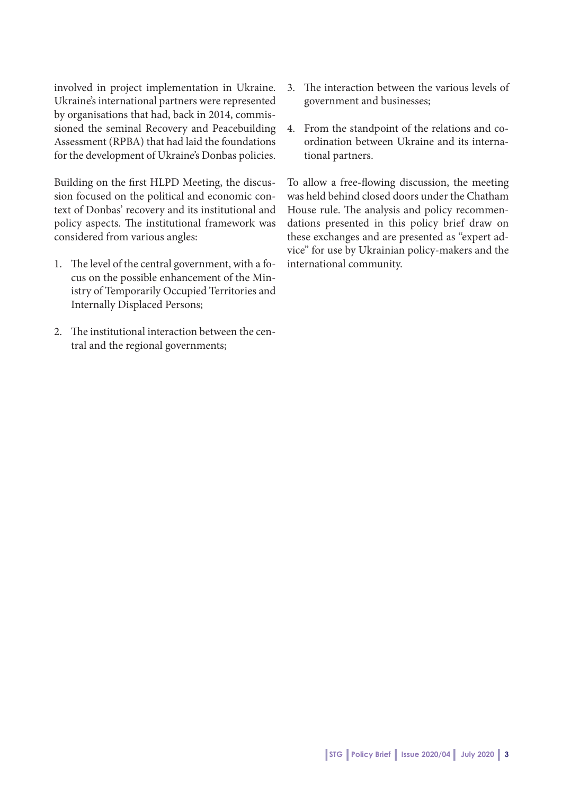involved in project implementation in Ukraine. Ukraine's international partners were represented by organisations that had, back in 2014, commissioned the seminal Recovery and Peacebuilding Assessment (RPBA) that had laid the foundations for the development of Ukraine's Donbas policies.

Building on the first HLPD Meeting, the discussion focused on the political and economic context of Donbas' recovery and its institutional and policy aspects. The institutional framework was considered from various angles:

- 1. The level of the central government, with a focus on the possible enhancement of the Ministry of Temporarily Occupied Territories and Internally Displaced Persons;
- 2. The institutional interaction between the central and the regional governments;
- 3. The interaction between the various levels of government and businesses;
- 4. From the standpoint of the relations and coordination between Ukraine and its international partners.

To allow a free-flowing discussion, the meeting was held behind closed doors under the Chatham House rule. The analysis and policy recommendations presented in this policy brief draw on these exchanges and are presented as "expert advice" for use by Ukrainian policy-makers and the international community.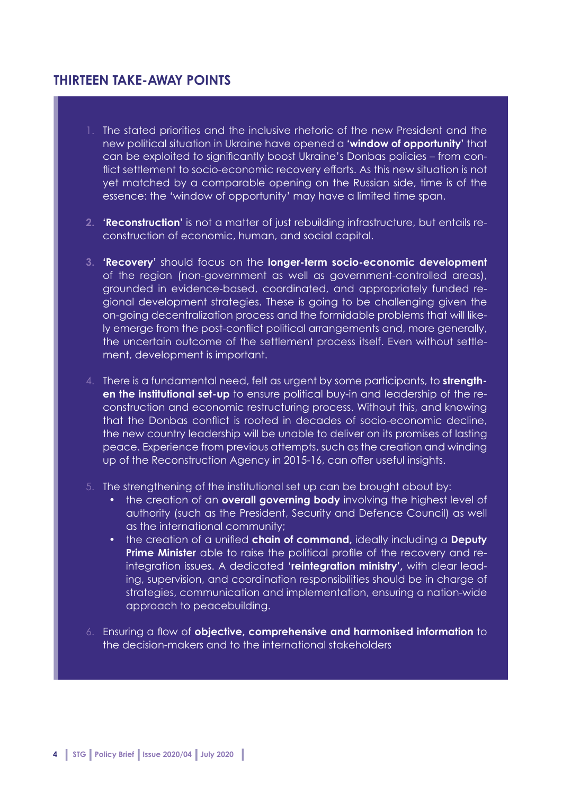# **THIRTEEN TAKE-AWAY POINTS**

- 1. The stated priorities and the inclusive rhetoric of the new President and the new political situation in Ukraine have opened a **'window of opportunity'** that can be exploited to significantly boost Ukraine's Donbas policies – from conflict settlement to socio-economic recovery efforts. As this new situation is not yet matched by a comparable opening on the Russian side, time is of the essence: the 'window of opportunity' may have a limited time span.
- **2. 'Reconstruction'** is not a matter of just rebuilding infrastructure, but entails reconstruction of economic, human, and social capital.
- **3. 'Recovery'** should focus on the **longer-term socio-economic development** of the region (non-government as well as government-controlled areas), grounded in evidence-based, coordinated, and appropriately funded regional development strategies. These is going to be challenging given the on-going decentralization process and the formidable problems that will likely emerge from the post-conflict political arrangements and, more generally, the uncertain outcome of the settlement process itself. Even without settlement, development is important.
- 4. There is a fundamental need, felt as urgent by some participants, to **strengthen the institutional set-up** to ensure political buy-in and leadership of the reconstruction and economic restructuring process. Without this, and knowing that the Donbas conflict is rooted in decades of socio-economic decline, the new country leadership will be unable to deliver on its promises of lasting peace. Experience from previous attempts, such as the creation and winding up of the Reconstruction Agency in 2015-16, can offer useful insights.
- 5. The strengthening of the institutional set up can be brought about by:
	- the creation of an **overall governing body** involving the highest level of authority (such as the President, Security and Defence Council) as well as the international community;
	- the creation of a unified **chain of command,** ideally including a **Deputy Prime Minister** able to raise the political profile of the recovery and reintegration issues. A dedicated '**reintegration ministry',** with clear leading, supervision, and coordination responsibilities should be in charge of strategies, communication and implementation, ensuring a nation-wide approach to peacebuilding.
- 6. Ensuring a flow of **objective, comprehensive and harmonised information** to the decision-makers and to the international stakeholders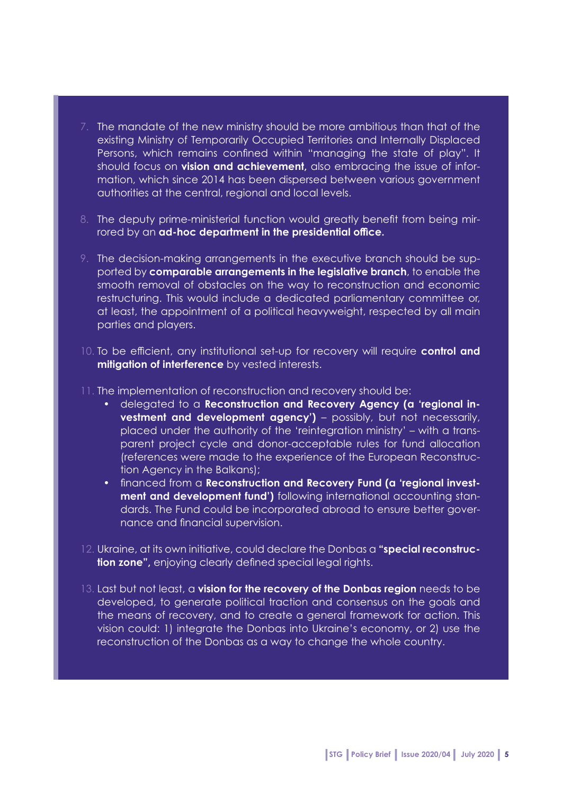- 7. The mandate of the new ministry should be more ambitious than that of the existing Ministry of Temporarily Occupied Territories and Internally Displaced Persons, which remains confined within "managing the state of play". It should focus on **vision and achievement,** also embracing the issue of information, which since 2014 has been dispersed between various government authorities at the central, regional and local levels.
- 8. The deputy prime-ministerial function would greatly benefit from being mirrored by an **ad-hoc department in the presidential office.**
- 9. The decision-making arrangements in the executive branch should be supported by **comparable arrangements in the legislative branch**, to enable the smooth removal of obstacles on the way to reconstruction and economic restructuring. This would include a dedicated parliamentary committee or, at least, the appointment of a political heavyweight, respected by all main parties and players.
- 10. To be efficient, any institutional set-up for recovery will require **control and mitigation of interference** by vested interests.
- 11. The implementation of reconstruction and recovery should be:
	- delegated to a **Reconstruction and Recovery Agency (a 'regional investment and development agency')** – possibly, but not necessarily, placed under the authority of the 'reintegration ministry' – with a transparent project cycle and donor-acceptable rules for fund allocation (references were made to the experience of the European Reconstruction Agency in the Balkans);
	- financed from a **Reconstruction and Recovery Fund (a 'regional investment and development fund')** following international accounting standards. The Fund could be incorporated abroad to ensure better governance and financial supervision.
- 12. Ukraine, at its own initiative, could declare the Donbas a **"special reconstruction zone",** enjoying clearly defined special legal rights.
- 13. Last but not least, a **vision for the recovery of the Donbas region** needs to be developed, to generate political traction and consensus on the goals and the means of recovery, and to create a general framework for action. This vision could: 1) integrate the Donbas into Ukraine's economy, or 2) use the reconstruction of the Donbas as a way to change the whole country.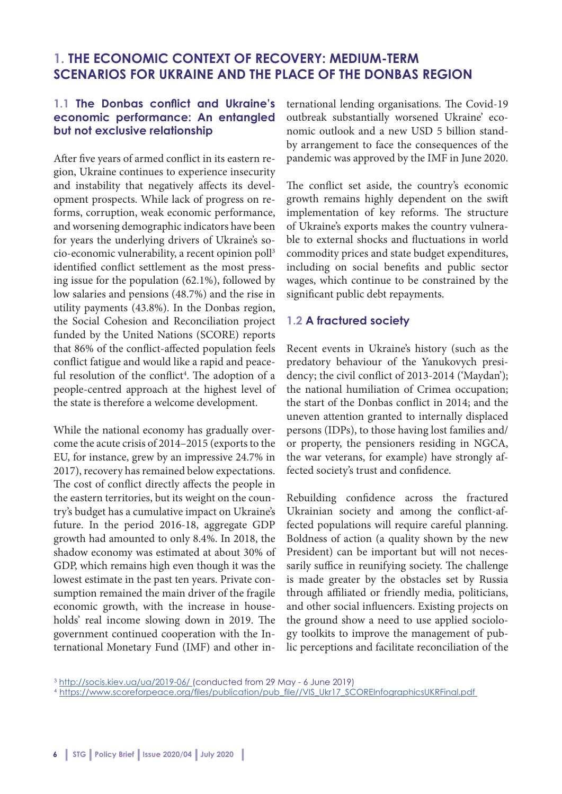# **1. THE ECONOMIC CONTEXT OF RECOVERY: MEDIUM-TERM SCENARIOS FOR UKRAINE AND THE PLACE OF THE DONBAS REGION**

#### **1.1 The Donbas conflict and Ukraine's economic performance: An entangled but not exclusive relationship**

After five years of armed conflict in its eastern region, Ukraine continues to experience insecurity and instability that negatively affects its development prospects. While lack of progress on reforms, corruption, weak economic performance, and worsening demographic indicators have been for years the underlying drivers of Ukraine's socio-economic vulnerability, a recent opinion poll3 identified conflict settlement as the most pressing issue for the population (62.1%), followed by low salaries and pensions (48.7%) and the rise in utility payments (43.8%). In the Donbas region, the Social Cohesion and Reconciliation project funded by the United Nations (SCORE) reports that 86% of the conflict-affected population feels conflict fatigue and would like a rapid and peaceful resolution of the conflict<sup>4</sup>. The adoption of a people-centred approach at the highest level of the state is therefore a welcome development.

While the national economy has gradually overcome the acute crisis of 2014–2015 (exports to the EU, for instance, grew by an impressive 24.7% in 2017), recovery has remained below expectations. The cost of conflict directly affects the people in the eastern territories, but its weight on the country's budget has a cumulative impact on Ukraine's future. In the period 2016-18, aggregate GDP growth had amounted to only 8.4%. In 2018, the shadow economy was estimated at about 30% of GDP, which remains high even though it was the lowest estimate in the past ten years. Private consumption remained the main driver of the fragile economic growth, with the increase in households' real income slowing down in 2019. The government continued cooperation with the International Monetary Fund (IMF) and other international lending organisations. The Covid-19 outbreak substantially worsened Ukraine' economic outlook and a new USD 5 billion standby arrangement to face the consequences of the pandemic was approved by the IMF in June 2020.

The conflict set aside, the country's economic growth remains highly dependent on the swift implementation of key reforms. The structure of Ukraine's exports makes the country vulnerable to external shocks and fluctuations in world commodity prices and state budget expenditures, including on social benefits and public sector wages, which continue to be constrained by the significant public debt repayments.

#### **1.2 A fractured society**

Recent events in Ukraine's history (such as the predatory behaviour of the Yanukovych presidency; the civil conflict of 2013-2014 ('Maydan'); the national humiliation of Crimea occupation; the start of the Donbas conflict in 2014; and the uneven attention granted to internally displaced persons (IDPs), to those having lost families and/ or property, the pensioners residing in NGCA, the war veterans, for example) have strongly affected society's trust and confidence.

Rebuilding confidence across the fractured Ukrainian society and among the conflict-affected populations will require careful planning. Boldness of action (a quality shown by the new President) can be important but will not necessarily suffice in reunifying society. The challenge is made greater by the obstacles set by Russia through affiliated or friendly media, politicians, and other social influencers. Existing projects on the ground show a need to use applied sociology toolkits to improve the management of public perceptions and facilitate reconciliation of the

<sup>3</sup> http://socis.kiev.ua/ua/2019-06/ (conducted from 29 May - 6 June 2019)

<sup>4</sup> https://www.scoreforpeace.org/files/publication/pub\_file//VIS\_Ukr17\_SCOREInfographicsUKRFinal.pdf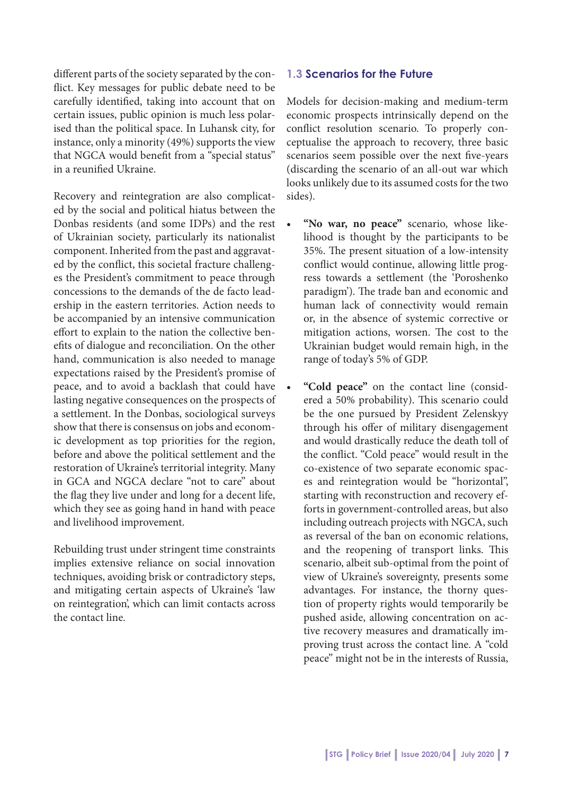different parts of the society separated by the conflict. Key messages for public debate need to be carefully identified, taking into account that on certain issues, public opinion is much less polarised than the political space. In Luhansk city, for instance, only a minority (49%) supports the view that NGCA would benefit from a "special status" in a reunified Ukraine.

Recovery and reintegration are also complicated by the social and political hiatus between the Donbas residents (and some IDPs) and the rest of Ukrainian society, particularly its nationalist component. Inherited from the past and aggravated by the conflict, this societal fracture challenges the President's commitment to peace through concessions to the demands of the de facto leadership in the eastern territories. Action needs to be accompanied by an intensive communication effort to explain to the nation the collective benefits of dialogue and reconciliation. On the other hand, communication is also needed to manage expectations raised by the President's promise of peace, and to avoid a backlash that could have lasting negative consequences on the prospects of a settlement. In the Donbas, sociological surveys show that there is consensus on jobs and economic development as top priorities for the region, before and above the political settlement and the restoration of Ukraine's territorial integrity. Many in GCA and NGCA declare "not to care" about the flag they live under and long for a decent life, which they see as going hand in hand with peace and livelihood improvement.

Rebuilding trust under stringent time constraints implies extensive reliance on social innovation techniques, avoiding brisk or contradictory steps, and mitigating certain aspects of Ukraine's 'law on reintegration', which can limit contacts across the contact line.

#### **1.3 Scenarios for the Future**

Models for decision-making and medium-term economic prospects intrinsically depend on the conflict resolution scenario. To properly conceptualise the approach to recovery, three basic scenarios seem possible over the next five-years (discarding the scenario of an all-out war which looks unlikely due to its assumed costs for the two sides).

- **• "No war, no peace"** scenario, whose likelihood is thought by the participants to be 35%. The present situation of a low-intensity conflict would continue, allowing little progress towards a settlement (the 'Poroshenko paradigm'). The trade ban and economic and human lack of connectivity would remain or, in the absence of systemic corrective or mitigation actions, worsen. The cost to the Ukrainian budget would remain high, in the range of today's 5% of GDP.
- **• "Cold peace"** on the contact line (considered a 50% probability). This scenario could be the one pursued by President Zelenskyy through his offer of military disengagement and would drastically reduce the death toll of the conflict. "Cold peace" would result in the co-existence of two separate economic spaces and reintegration would be "horizontal", starting with reconstruction and recovery efforts in government-controlled areas, but also including outreach projects with NGCA, such as reversal of the ban on economic relations, and the reopening of transport links. This scenario, albeit sub-optimal from the point of view of Ukraine's sovereignty, presents some advantages. For instance, the thorny question of property rights would temporarily be pushed aside, allowing concentration on active recovery measures and dramatically improving trust across the contact line. A "cold peace" might not be in the interests of Russia,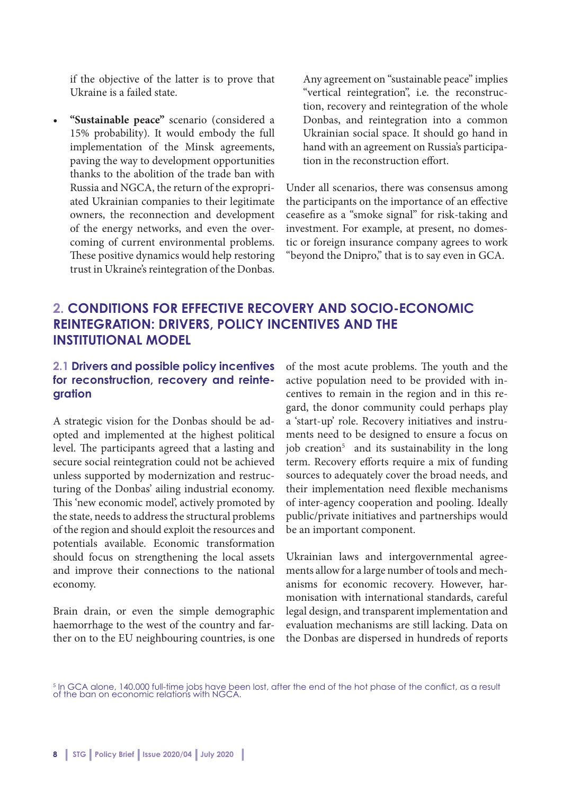if the objective of the latter is to prove that Ukraine is a failed state.

**• "Sustainable peace"** scenario (considered a 15% probability). It would embody the full implementation of the Minsk agreements, paving the way to development opportunities thanks to the abolition of the trade ban with Russia and NGCA, the return of the expropriated Ukrainian companies to their legitimate owners, the reconnection and development of the energy networks, and even the overcoming of current environmental problems. These positive dynamics would help restoring trust in Ukraine's reintegration of the Donbas.

Any agreement on "sustainable peace" implies "vertical reintegration", i.e. the reconstruction, recovery and reintegration of the whole Donbas, and reintegration into a common Ukrainian social space. It should go hand in hand with an agreement on Russia's participation in the reconstruction effort.

Under all scenarios, there was consensus among the participants on the importance of an effective ceasefire as a "smoke signal" for risk-taking and investment. For example, at present, no domestic or foreign insurance company agrees to work "beyond the Dnipro," that is to say even in GCA.

# **2. CONDITIONS FOR EFFECTIVE RECOVERY AND SOCIO-ECONOMIC REINTEGRATION: DRIVERS, POLICY INCENTIVES AND THE INSTITUTIONAL MODEL**

#### **2.1 Drivers and possible policy incentives for reconstruction, recovery and reintegration**

A strategic vision for the Donbas should be adopted and implemented at the highest political level. The participants agreed that a lasting and secure social reintegration could not be achieved unless supported by modernization and restructuring of the Donbas' ailing industrial economy. This 'new economic model', actively promoted by the state, needs to address the structural problems of the region and should exploit the resources and potentials available. Economic transformation should focus on strengthening the local assets and improve their connections to the national economy.

Brain drain, or even the simple demographic haemorrhage to the west of the country and farther on to the EU neighbouring countries, is one of the most acute problems. The youth and the active population need to be provided with incentives to remain in the region and in this regard, the donor community could perhaps play a 'start-up' role. Recovery initiatives and instruments need to be designed to ensure a focus on job creation<sup>5</sup> and its sustainability in the long term. Recovery efforts require a mix of funding sources to adequately cover the broad needs, and their implementation need flexible mechanisms of inter-agency cooperation and pooling. Ideally public/private initiatives and partnerships would be an important component.

Ukrainian laws and intergovernmental agreements allow for a large number of tools and mechanisms for economic recovery. However, harmonisation with international standards, careful legal design, and transparent implementation and evaluation mechanisms are still lacking. Data on the Donbas are dispersed in hundreds of reports

<sup>5</sup> In GCA alone, 140.000 full-time jobs have been lost, after the end of the hot phase of the conflict, as a result of the ban on economic relations with NGCA.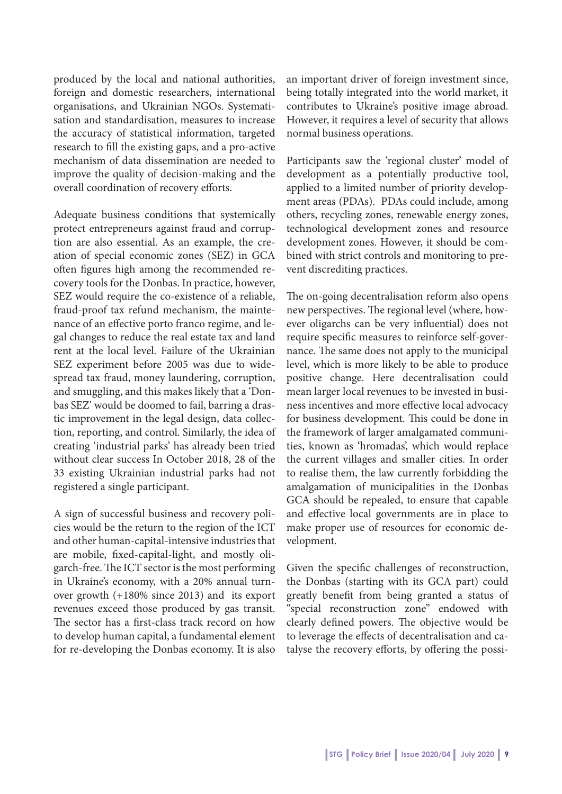produced by the local and national authorities, foreign and domestic researchers, international organisations, and Ukrainian NGOs. Systematisation and standardisation, measures to increase the accuracy of statistical information, targeted research to fill the existing gaps, and a pro-active mechanism of data dissemination are needed to improve the quality of decision-making and the overall coordination of recovery efforts.

Adequate business conditions that systemically protect entrepreneurs against fraud and corruption are also essential. As an example, the creation of special economic zones (SEZ) in GCA often figures high among the recommended recovery tools for the Donbas. In practice, however, SEZ would require the co-existence of a reliable, fraud-proof tax refund mechanism, the maintenance of an effective porto franco regime, and legal changes to reduce the real estate tax and land rent at the local level. Failure of the Ukrainian SEZ experiment before 2005 was due to widespread tax fraud, money laundering, corruption, and smuggling, and this makes likely that a 'Donbas SEZ' would be doomed to fail, barring a drastic improvement in the legal design, data collection, reporting, and control. Similarly, the idea of creating 'industrial parks' has already been tried without clear success In October 2018, 28 of the 33 existing Ukrainian industrial parks had not registered a single participant.

A sign of successful business and recovery policies would be the return to the region of the ICT and other human-capital-intensive industries that are mobile, fixed-capital-light, and mostly oligarch-free. The ICT sector is the most performing in Ukraine's economy, with a 20% annual turnover growth (+180% since 2013) and its export revenues exceed those produced by gas transit. The sector has a first-class track record on how to develop human capital, a fundamental element for re-developing the Donbas economy. It is also

an important driver of foreign investment since, being totally integrated into the world market, it contributes to Ukraine's positive image abroad. However, it requires a level of security that allows normal business operations.

Participants saw the 'regional cluster' model of development as a potentially productive tool, applied to a limited number of priority development areas (PDAs). PDAs could include, among others, recycling zones, renewable energy zones, technological development zones and resource development zones. However, it should be combined with strict controls and monitoring to prevent discrediting practices.

The on-going decentralisation reform also opens new perspectives. The regional level (where, however oligarchs can be very influential) does not require specific measures to reinforce self-governance. The same does not apply to the municipal level, which is more likely to be able to produce positive change. Here decentralisation could mean larger local revenues to be invested in business incentives and more effective local advocacy for business development. This could be done in the framework of larger amalgamated communities, known as 'hromadas', which would replace the current villages and smaller cities. In order to realise them, the law currently forbidding the amalgamation of municipalities in the Donbas GCA should be repealed, to ensure that capable and effective local governments are in place to make proper use of resources for economic development.

Given the specific challenges of reconstruction, the Donbas (starting with its GCA part) could greatly benefit from being granted a status of "special reconstruction zone" endowed with clearly defined powers. The objective would be to leverage the effects of decentralisation and catalyse the recovery efforts, by offering the possi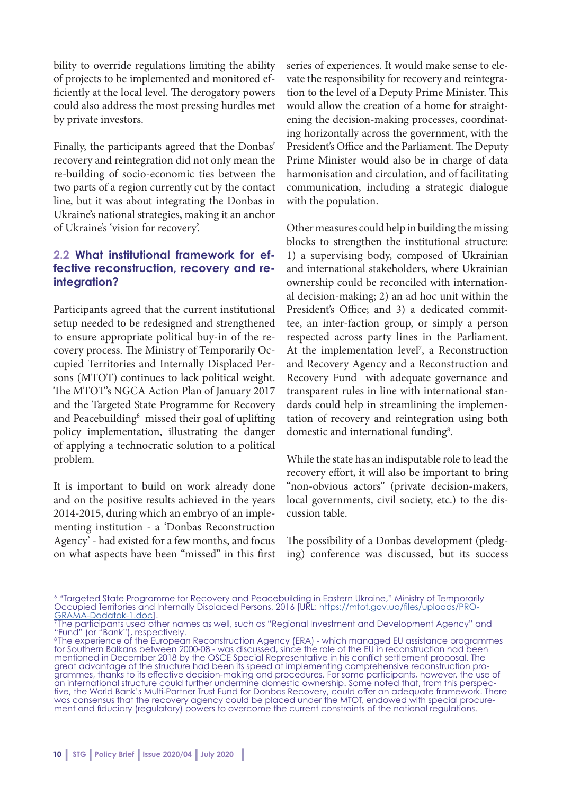bility to override regulations limiting the ability of projects to be implemented and monitored efficiently at the local level. The derogatory powers could also address the most pressing hurdles met by private investors.

Finally, the participants agreed that the Donbas' recovery and reintegration did not only mean the re-building of socio-economic ties between the two parts of a region currently cut by the contact line, but it was about integrating the Donbas in Ukraine's national strategies, making it an anchor of Ukraine's 'vision for recovery'.

#### **2.2 What institutional framework for effective reconstruction, recovery and reintegration?**

Participants agreed that the current institutional setup needed to be redesigned and strengthened to ensure appropriate political buy-in of the recovery process. The Ministry of Temporarily Occupied Territories and Internally Displaced Persons (MTOT) continues to lack political weight. The MTOT's NGCA Action Plan of January 2017 and the Targeted State Programme for Recovery and Peacebuilding<sup>6</sup> missed their goal of uplifting policy implementation, illustrating the danger of applying a technocratic solution to a political problem.

It is important to build on work already done and on the positive results achieved in the years 2014-2015, during which an embryo of an implementing institution - a 'Donbas Reconstruction Agency' - had existed for a few months, and focus on what aspects have been "missed" in this first series of experiences. It would make sense to elevate the responsibility for recovery and reintegration to the level of a Deputy Prime Minister. This would allow the creation of a home for straightening the decision-making processes, coordinating horizontally across the government, with the President's Office and the Parliament. The Deputy Prime Minister would also be in charge of data harmonisation and circulation, and of facilitating communication, including a strategic dialogue with the population.

Other measures could help in building the missing blocks to strengthen the institutional structure: 1) a supervising body, composed of Ukrainian and international stakeholders, where Ukrainian ownership could be reconciled with international decision-making; 2) an ad hoc unit within the President's Office; and 3) a dedicated committee, an inter-faction group, or simply a person respected across party lines in the Parliament. At the implementation level<sup>7</sup>, a Reconstruction and Recovery Agency and a Reconstruction and Recovery Fund with adequate governance and transparent rules in line with international standards could help in streamlining the implementation of recovery and reintegration using both domestic and international funding<sup>8</sup>.

While the state has an indisputable role to lead the recovery effort, it will also be important to bring "non-obvious actors" (private decision-makers, local governments, civil society, etc.) to the discussion table.

The possibility of a Donbas development (pledging) conference was discussed, but its success

<sup>6</sup> "Targeted State Programme for Recovery and Peacebuilding in Eastern Ukraine," Ministry of Temporarily Occupied Territories and Internally Displaced Persons, 2016 [URL: https://mtot.gov.ua/files/uploads/PRO-GRAMA-Dodatok-1.doc].<br><sup>7</sup> The participants used other names as well, such as "Regional Investment and Development Agency" and

<sup>&</sup>quot;Fund" (or "Bank"), respectively.

<sup>8</sup> The experience of the European Reconstruction Agency (ERA) - which managed EU assistance programmes for Southern Balkans between 2000-08 - was discussed, since the role of the EU in reconstruction had been mentioned in December 2018 by the OSCE Special Representative in his conflict settlement proposal. The great advantage of the structure had been its speed at implementing comprehensive reconstruction programmes, thanks to its effective decision-making and procedures. For some participants, however, the use of an international structure could further undermine domestic ownership. Some noted that, from this perspective, the World Bank's Multi-Partner Trust Fund for Donbas Recovery, could offer an adequate framework. There was consensus that the recovery agency could be placed under the MTOT, endowed with special procurement and fiduciary (regulatory) powers to overcome the current constraints of the national regulations.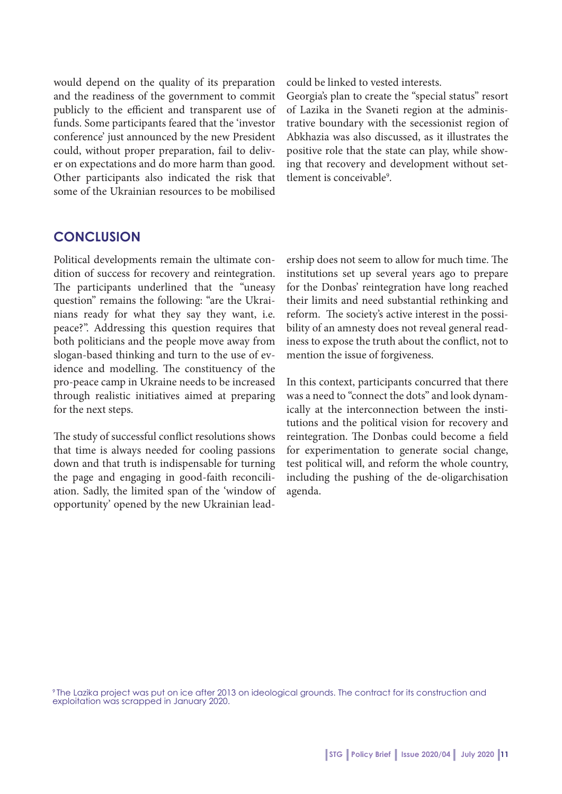would depend on the quality of its preparation and the readiness of the government to commit publicly to the efficient and transparent use of funds. Some participants feared that the 'investor conference' just announced by the new President could, without proper preparation, fail to deliver on expectations and do more harm than good. Other participants also indicated the risk that some of the Ukrainian resources to be mobilised

could be linked to vested interests.

Georgia's plan to create the "special status" resort of Lazika in the Svaneti region at the administrative boundary with the secessionist region of Abkhazia was also discussed, as it illustrates the positive role that the state can play, while showing that recovery and development without settlement is conceivable<sup>9</sup>.

### **CONCLUSION**

Political developments remain the ultimate condition of success for recovery and reintegration. The participants underlined that the "uneasy question" remains the following: "are the Ukrainians ready for what they say they want, i.e. peace?". Addressing this question requires that both politicians and the people move away from slogan-based thinking and turn to the use of evidence and modelling. The constituency of the pro-peace camp in Ukraine needs to be increased through realistic initiatives aimed at preparing for the next steps.

The study of successful conflict resolutions shows that time is always needed for cooling passions down and that truth is indispensable for turning the page and engaging in good-faith reconciliation. Sadly, the limited span of the 'window of opportunity' opened by the new Ukrainian leadership does not seem to allow for much time. The institutions set up several years ago to prepare for the Donbas' reintegration have long reached their limits and need substantial rethinking and reform. The society's active interest in the possibility of an amnesty does not reveal general readiness to expose the truth about the conflict, not to mention the issue of forgiveness.

In this context, participants concurred that there was a need to "connect the dots" and look dynamically at the interconnection between the institutions and the political vision for recovery and reintegration. The Donbas could become a field for experimentation to generate social change, test political will, and reform the whole country, including the pushing of the de-oligarchisation agenda.

9 The Lazika project was put on ice after 2013 on ideological grounds. The contract for its construction and exploitation was scrapped in January 2020.